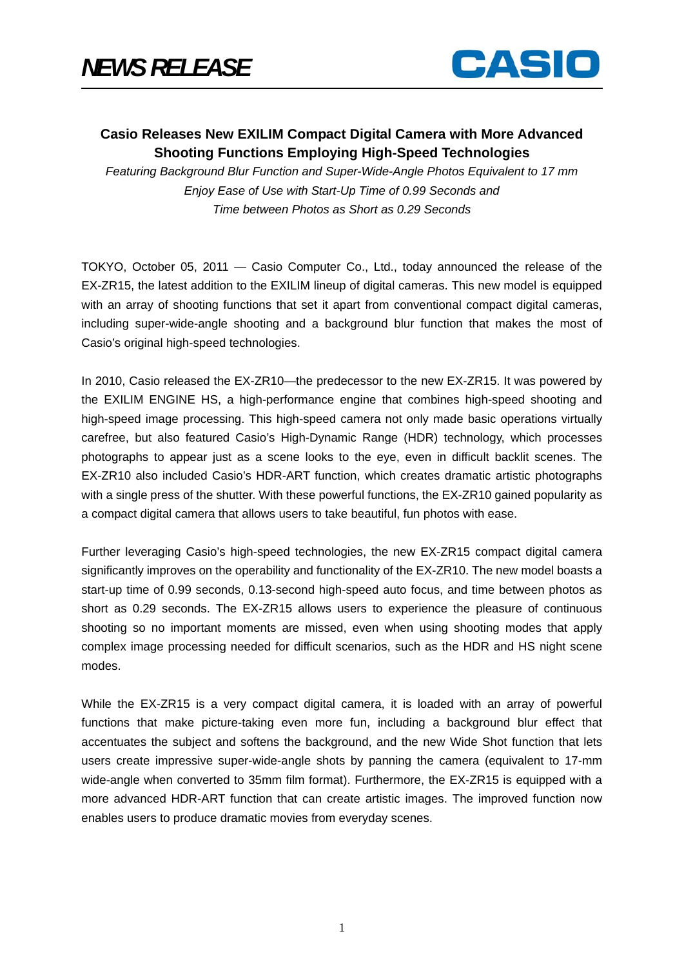

# **Casio Releases New EXILIM Compact Digital Camera with More Advanced Shooting Functions Employing High-Speed Technologies**

*Featuring Background Blur Function and Super-Wide-Angle Photos Equivalent to 17 mm Enjoy Ease of Use with Start-Up Time of 0.99 Seconds and Time between Photos as Short as 0.29 Seconds* 

TOKYO, October 05, 2011 — Casio Computer Co., Ltd., today announced the release of the EX-ZR15, the latest addition to the EXILIM lineup of digital cameras. This new model is equipped with an array of shooting functions that set it apart from conventional compact digital cameras, including super-wide-angle shooting and a background blur function that makes the most of Casio's original high-speed technologies.

In 2010, Casio released the EX-ZR10—the predecessor to the new EX-ZR15. It was powered by the EXILIM ENGINE HS, a high-performance engine that combines high-speed shooting and high-speed image processing. This high-speed camera not only made basic operations virtually carefree, but also featured Casio's High-Dynamic Range (HDR) technology, which processes photographs to appear just as a scene looks to the eye, even in difficult backlit scenes. The EX-ZR10 also included Casio's HDR-ART function, which creates dramatic artistic photographs with a single press of the shutter. With these powerful functions, the EX-ZR10 gained popularity as a compact digital camera that allows users to take beautiful, fun photos with ease.

Further leveraging Casio's high-speed technologies, the new EX-ZR15 compact digital camera significantly improves on the operability and functionality of the EX-ZR10. The new model boasts a start-up time of 0.99 seconds, 0.13-second high-speed auto focus, and time between photos as short as 0.29 seconds. The EX-ZR15 allows users to experience the pleasure of continuous shooting so no important moments are missed, even when using shooting modes that apply complex image processing needed for difficult scenarios, such as the HDR and HS night scene modes.

While the EX-ZR15 is a very compact digital camera, it is loaded with an array of powerful functions that make picture-taking even more fun, including a background blur effect that accentuates the subject and softens the background, and the new Wide Shot function that lets users create impressive super-wide-angle shots by panning the camera (equivalent to 17-mm wide-angle when converted to 35mm film format). Furthermore, the EX-ZR15 is equipped with a more advanced HDR-ART function that can create artistic images. The improved function now enables users to produce dramatic movies from everyday scenes.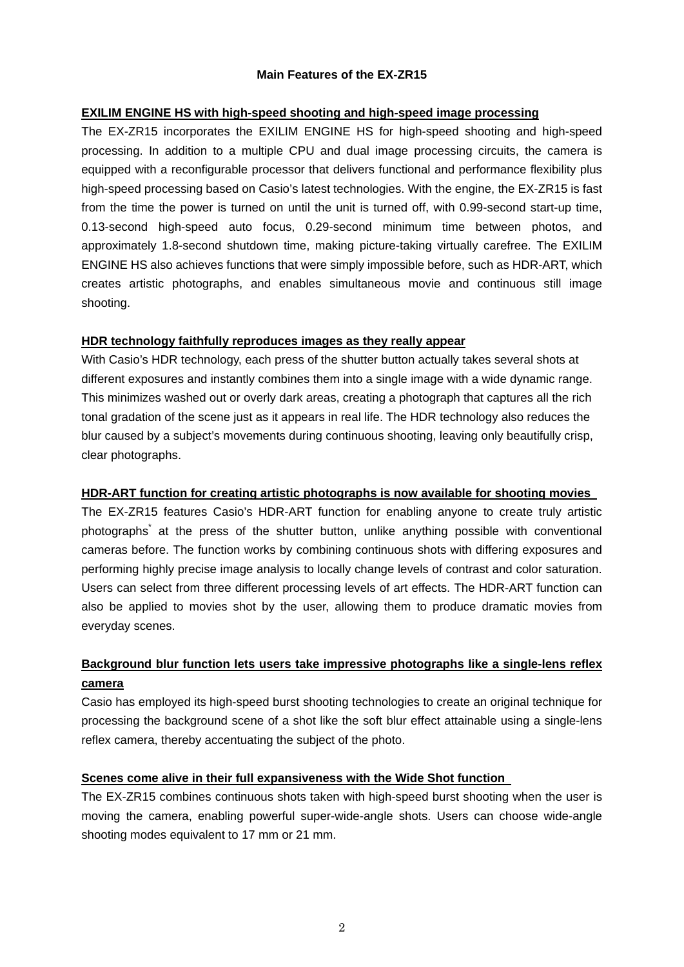#### **Main Features of the EX-ZR15**

#### **EXILIM ENGINE HS with high-speed shooting and high-speed image processing**

The EX-ZR15 incorporates the EXILIM ENGINE HS for high-speed shooting and high-speed processing. In addition to a multiple CPU and dual image processing circuits, the camera is equipped with a reconfigurable processor that delivers functional and performance flexibility plus high-speed processing based on Casio's latest technologies. With the engine, the EX-ZR15 is fast from the time the power is turned on until the unit is turned off, with 0.99-second start-up time, 0.13-second high-speed auto focus, 0.29-second minimum time between photos, and approximately 1.8-second shutdown time, making picture-taking virtually carefree. The EXILIM ENGINE HS also achieves functions that were simply impossible before, such as HDR-ART, which creates artistic photographs, and enables simultaneous movie and continuous still image shooting.

#### **HDR technology faithfully reproduces images as they really appear**

With Casio's HDR technology, each press of the shutter button actually takes several shots at different exposures and instantly combines them into a single image with a wide dynamic range. This minimizes washed out or overly dark areas, creating a photograph that captures all the rich tonal gradation of the scene just as it appears in real life. The HDR technology also reduces the blur caused by a subject's movements during continuous shooting, leaving only beautifully crisp, clear photographs.

### **HDR-ART function for creating artistic photographs is now available for shooting movies**

The EX-ZR15 features Casio's HDR-ART function for enabling anyone to create truly artistic photographs<sup>\*</sup> at the press of the shutter button, unlike anything possible with conventional cameras before. The function works by combining continuous shots with differing exposures and performing highly precise image analysis to locally change levels of contrast and color saturation. Users can select from three different processing levels of art effects. The HDR-ART function can also be applied to movies shot by the user, allowing them to produce dramatic movies from everyday scenes.

# **Background blur function lets users take impressive photographs like a single-lens reflex camera**

Casio has employed its high-speed burst shooting technologies to create an original technique for processing the background scene of a shot like the soft blur effect attainable using a single-lens reflex camera, thereby accentuating the subject of the photo.

### **Scenes come alive in their full expansiveness with the Wide Shot function**

The EX-ZR15 combines continuous shots taken with high-speed burst shooting when the user is moving the camera, enabling powerful super-wide-angle shots. Users can choose wide-angle shooting modes equivalent to 17 mm or 21 mm.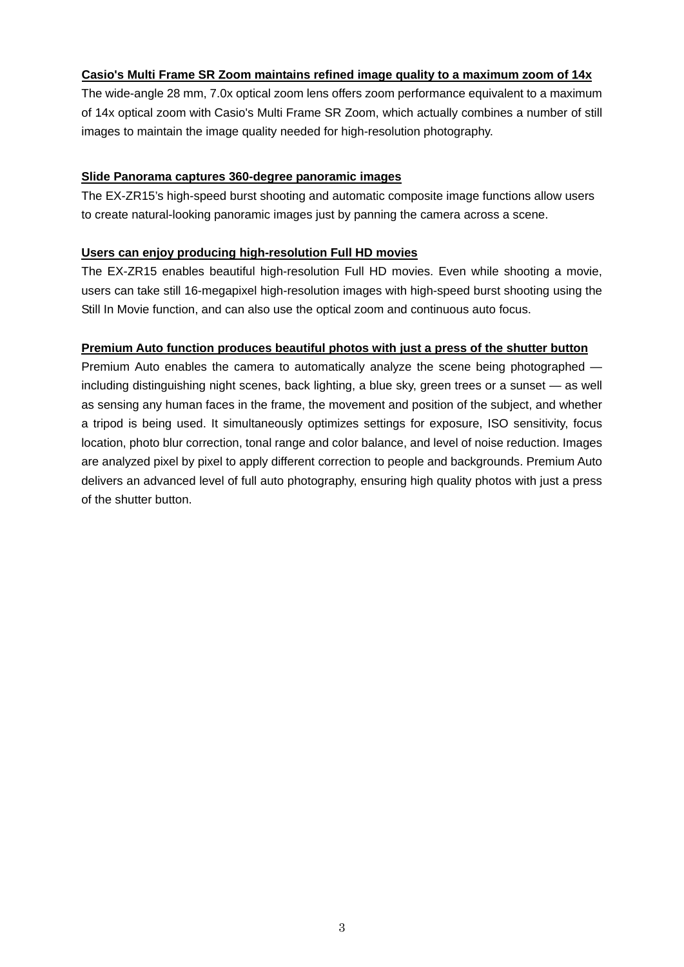## **Casio's Multi Frame SR Zoom maintains refined image quality to a maximum zoom of 14x**

The wide-angle 28 mm, 7.0x optical zoom lens offers zoom performance equivalent to a maximum of 14x optical zoom with Casio's Multi Frame SR Zoom, which actually combines a number of still images to maintain the image quality needed for high-resolution photography.

### **Slide Panorama captures 360-degree panoramic images**

The EX-ZR15's high-speed burst shooting and automatic composite image functions allow users to create natural-looking panoramic images just by panning the camera across a scene.

### **Users can enjoy producing high-resolution Full HD movies**

The EX-ZR15 enables beautiful high-resolution Full HD movies. Even while shooting a movie, users can take still 16-megapixel high-resolution images with high-speed burst shooting using the Still In Movie function, and can also use the optical zoom and continuous auto focus.

## **Premium Auto function produces beautiful photos with just a press of the shutter button**

Premium Auto enables the camera to automatically analyze the scene being photographed including distinguishing night scenes, back lighting, a blue sky, green trees or a sunset — as well as sensing any human faces in the frame, the movement and position of the subject, and whether a tripod is being used. It simultaneously optimizes settings for exposure, ISO sensitivity, focus location, photo blur correction, tonal range and color balance, and level of noise reduction. Images are analyzed pixel by pixel to apply different correction to people and backgrounds. Premium Auto delivers an advanced level of full auto photography, ensuring high quality photos with just a press of the shutter button.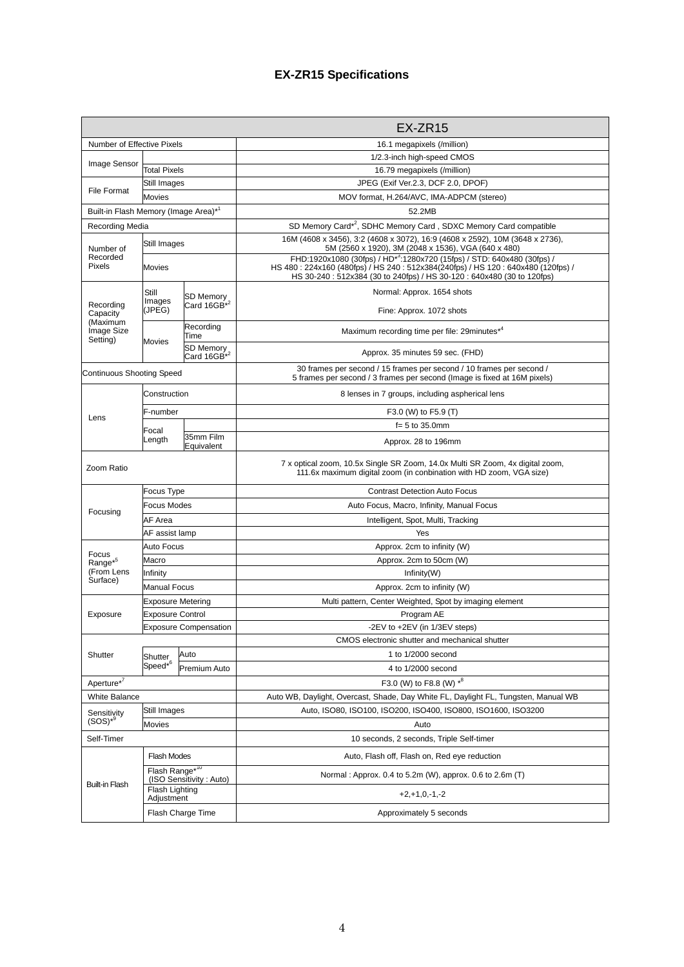# **EX-ZR15 Specifications**

|                                        |                                                  |                                      | EX-ZR15                                                                                                                                                                                                                                         |
|----------------------------------------|--------------------------------------------------|--------------------------------------|-------------------------------------------------------------------------------------------------------------------------------------------------------------------------------------------------------------------------------------------------|
| Number of Effective Pixels             |                                                  |                                      | 16.1 megapixels (/million)                                                                                                                                                                                                                      |
| Image Sensor                           |                                                  |                                      | 1/2.3-inch high-speed CMOS                                                                                                                                                                                                                      |
|                                        | <b>Total Pixels</b>                              |                                      | 16.79 megapixels (/million)                                                                                                                                                                                                                     |
| File Format                            | Still Images                                     |                                      | JPEG (Exif Ver.2.3, DCF 2.0, DPOF)                                                                                                                                                                                                              |
|                                        | <b>Movies</b>                                    |                                      | MOV format, H.264/AVC, IMA-ADPCM (stereo)                                                                                                                                                                                                       |
|                                        | Built-in Flash Memory (Image Area)* <sup>1</sup> |                                      | 52.2MB                                                                                                                                                                                                                                          |
| Recording Media                        |                                                  |                                      | SD Memory Card* <sup>2</sup> , SDHC Memory Card, SDXC Memory Card compatible                                                                                                                                                                    |
| Number of<br>Recorded<br><b>Pixels</b> | Still Images                                     |                                      | 16M (4608 x 3456), 3:2 (4608 x 3072), 16:9 (4608 x 2592), 10M (3648 x 2736),<br>5M (2560 x 1920), 3M (2048 x 1536), VGA (640 x 480)                                                                                                             |
|                                        | <b>Movies</b>                                    |                                      | FHD:1920x1080 (30fps) / HD <sup>*3</sup> :1280x720 (15fps) / STD: 640x480 (30fps) /<br>HS 480: 224x160 (480fps) / HS 240: 512x384(240fps) / HS 120: 640x480 (120fps) /<br>HS 30-240: 512x384 (30 to 240fps) / HS 30-120: 640x480 (30 to 120fps) |
| Recording                              | Still<br>Images<br>(JPEG)                        | SD Memory<br>Card $16GB*^2$          | Normal: Approx. 1654 shots<br>Fine: Approx. 1072 shots                                                                                                                                                                                          |
| Capacity<br>(Maximum                   | <b>Movies</b>                                    | Recording                            |                                                                                                                                                                                                                                                 |
| Image Size<br>Setting)                 |                                                  | Time                                 | Maximum recording time per file: 29minutes*4                                                                                                                                                                                                    |
|                                        |                                                  | SD Memory<br>Card 16GB <sup>*2</sup> | Approx. 35 minutes 59 sec. (FHD)                                                                                                                                                                                                                |
| <b>Continuous Shooting Speed</b>       |                                                  |                                      | 30 frames per second / 15 frames per second / 10 frames per second /<br>5 frames per second / 3 frames per second (Image is fixed at 16M pixels)                                                                                                |
|                                        | Construction                                     |                                      | 8 lenses in 7 groups, including aspherical lens                                                                                                                                                                                                 |
|                                        | F-number                                         |                                      | F3.0 (W) to F5.9 (T)                                                                                                                                                                                                                            |
| Lens                                   | Focal<br>Length                                  |                                      | $f = 5$ to 35.0mm                                                                                                                                                                                                                               |
|                                        |                                                  | 35mm Film<br>Equivalent              | Approx. 28 to 196mm                                                                                                                                                                                                                             |
| Zoom Ratio                             |                                                  |                                      | 7 x optical zoom, 10.5x Single SR Zoom, 14.0x Multi SR Zoom, 4x digital zoom,<br>111.6x maximum digital zoom (in conbination with HD zoom, VGA size)                                                                                            |
|                                        | <b>Focus Type</b>                                |                                      | <b>Contrast Detection Auto Focus</b>                                                                                                                                                                                                            |
|                                        | <b>Focus Modes</b>                               |                                      | Auto Focus, Macro, Infinity, Manual Focus                                                                                                                                                                                                       |
| Focusing                               | AF Area                                          |                                      | Intelligent, Spot, Multi, Tracking                                                                                                                                                                                                              |
|                                        | AF assist lamp                                   |                                      | Yes                                                                                                                                                                                                                                             |
|                                        | <b>Auto Focus</b>                                |                                      | Approx. 2cm to infinity (W)                                                                                                                                                                                                                     |
| Focus<br>Range <sup>*5</sup>           | Macro                                            |                                      | Approx. 2cm to 50cm (W)                                                                                                                                                                                                                         |
| (From Lens                             | Infinity                                         |                                      | Infinity(W)                                                                                                                                                                                                                                     |
| Surface)                               | <b>Manual Focus</b>                              |                                      | Approx. 2cm to infinity (W)                                                                                                                                                                                                                     |
| Exposure                               | <b>Exposure Metering</b>                         |                                      | Multi pattern, Center Weighted, Spot by imaging element                                                                                                                                                                                         |
|                                        | <b>Exposure Control</b>                          |                                      | Program AE                                                                                                                                                                                                                                      |
|                                        | <b>Exposure Compensation</b>                     |                                      | -2EV to +2EV (in 1/3EV steps)                                                                                                                                                                                                                   |
|                                        |                                                  |                                      | CMOS electronic shutter and mechanical shutter                                                                                                                                                                                                  |
| Shutter                                | Shutter<br>Speed <sup>*6</sup>                   | Auto                                 | 1 to 1/2000 second                                                                                                                                                                                                                              |
|                                        |                                                  | Premium Auto                         | 4 to 1/2000 second                                                                                                                                                                                                                              |
| Aperture*7                             |                                                  |                                      | F3.0 (W) to F8.8 (W) *8                                                                                                                                                                                                                         |
| <b>White Balance</b>                   |                                                  |                                      | Auto WB, Daylight, Overcast, Shade, Day White FL, Daylight FL, Tungsten, Manual WB                                                                                                                                                              |
| Sensitivity                            | Still Images                                     |                                      | Auto, ISO80, ISO100, ISO200, ISO400, ISO800, ISO1600, ISO3200                                                                                                                                                                                   |
| $(SOS)^{*9}$                           | <b>Movies</b>                                    |                                      | Auto                                                                                                                                                                                                                                            |
| Self-Timer                             |                                                  |                                      | 10 seconds, 2 seconds, Triple Self-timer                                                                                                                                                                                                        |
| <b>Built-in Flash</b>                  | <b>Flash Modes</b>                               |                                      | Auto, Flash off, Flash on, Red eye reduction                                                                                                                                                                                                    |
|                                        | Flash Range*10<br>(ISO Sensitivity: Auto)        |                                      | Normal: Approx. 0.4 to 5.2m (W), approx. 0.6 to 2.6m (T)                                                                                                                                                                                        |
|                                        | Flash Lighting<br>Adjustment                     |                                      | $+2,+1,0,-1,-2$                                                                                                                                                                                                                                 |
|                                        | Flash Charge Time                                |                                      | Approximately 5 seconds                                                                                                                                                                                                                         |